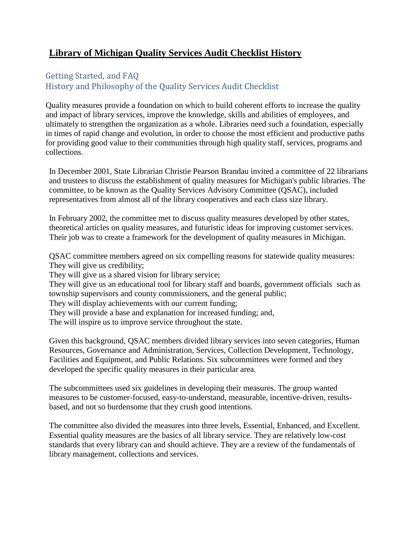# **Library of Michigan Quality Services Audit Checklist History**

### Getting Started, and FAQ History and Philosophy of the Quality Services Audit Checklist

Quality measures provide a foundation on which to build coherent efforts to increase the quality and impact of library services, improve the knowledge, skills and abilities of employees, and ultimately to strengthen the organization as a whole. Libraries need such a foundation, especially in times of rapid change and evolution, in order to choose the most efficient and productive paths for providing good value to their communities through high quality staff, services, programs and collections.

In December 2001, State Librarian Christie Pearson Brandau invited a committee of 22 librarians and trustees to discuss the establishment of quality measures for Michigan's public libraries. The committee, to be known as the Quality Services Advisory Committee (QSAC), included representatives from almost all of the library cooperatives and each class size library.

In February 2002, the committee met to discuss quality measures developed by other states, theoretical articles on quality measures, and futuristic ideas for improving customer services. Their job was to create a framework for the development of quality measures in Michigan.

QSAC committee members agreed on six compelling reasons for statewide quality measures: They will give us credibility;

They will give us a shared vision for library service;

They will give us an educational tool for library staff and boards, government officials such as township supervisors and county commissioners, and the general public;

They will display achievements with our current funding;

They will provide a base and explanation for increased funding; and,

The will inspire us to improve service throughout the state.

Given this background, QSAC members divided library services into seven categories, Human Resources, Governance and Administration, Services, Collection Development, Technology, Facilities and Equipment, and Public Relations. Six subcommittees were formed and they developed the specific quality measures in their particular area.

The subcommittees used six guidelines in developing their measures. The group wanted measures to be customer-focused, easy-to-understand, measurable, incentive-driven, resultsbased, and not so burdensome that they crush good intentions.

The committee also divided the measures into three levels, Essential, Enhanced, and Excellent. Essential quality measures are the basics of all library service. They are relatively low-cost standards that every library can and should achieve. They are a review of the fundamentals of library management, collections and services.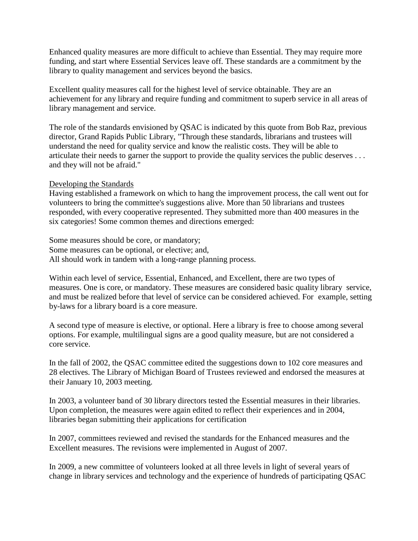Enhanced quality measures are more difficult to achieve than Essential. They may require more funding, and start where Essential Services leave off. These standards are a commitment by the library to quality management and services beyond the basics.

Excellent quality measures call for the highest level of service obtainable. They are an achievement for any library and require funding and commitment to superb service in all areas of library management and service.

The role of the standards envisioned by QSAC is indicated by this quote from Bob Raz, previous director, Grand Rapids Public Library, "Through these standards, librarians and trustees will understand the need for quality service and know the realistic costs. They will be able to articulate their needs to garner the support to provide the quality services the public deserves . . . and they will not be afraid."

#### Developing the Standards

Having established a framework on which to hang the improvement process, the call went out for volunteers to bring the committee's suggestions alive. More than 50 librarians and trustees responded, with every cooperative represented. They submitted more than 400 measures in the six categories! Some common themes and directions emerged:

Some measures should be core, or mandatory; Some measures can be optional, or elective; and, All should work in tandem with a long-range planning process.

Within each level of service, Essential, Enhanced, and Excellent, there are two types of measures. One is core, or mandatory. These measures are considered basic quality library service, and must be realized before that level of service can be considered achieved. For example, setting by-laws for a library board is a core measure.

A second type of measure is elective, or optional. Here a library is free to choose among several options. For example, multilingual signs are a good quality measure, but are not considered a core service.

In the fall of 2002, the QSAC committee edited the suggestions down to 102 core measures and 28 electives. The Library of Michigan Board of Trustees reviewed and endorsed the measures at their January 10, 2003 meeting.

In 2003, a volunteer band of 30 library directors tested the Essential measures in their libraries. Upon completion, the measures were again edited to reflect their experiences and in 2004, libraries began submitting their applications for certification

In 2007, committees reviewed and revised the standards for the Enhanced measures and the Excellent measures. The revisions were implemented in August of 2007.

In 2009, a new committee of volunteers looked at all three levels in light of several years of change in library services and technology and the experience of hundreds of participating QSAC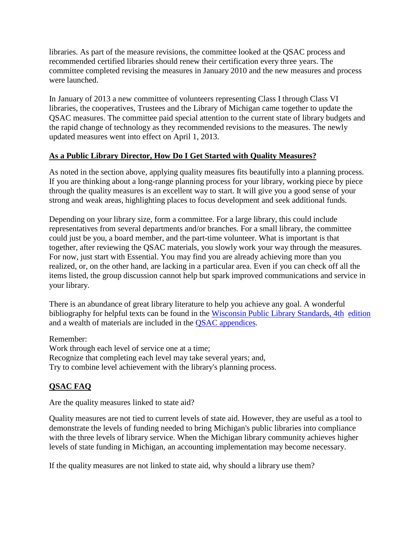libraries. As part of the measure revisions, the committee looked at the QSAC process and recommended certified libraries should renew their certification every three years. The committee completed revising the measures in January 2010 and the new measures and process were launched.

In January of 2013 a new committee of volunteers representing Class I through Class VI libraries, the cooperatives, Trustees and the Library of Michigan came together to update the QSAC measures. The committee paid special attention to the current state of library budgets and the rapid change of technology as they recommended revisions to the measures. The newly updated measures went into effect on April 1, 2013.

### **As a Public Library Director, How Do I Get Started with Quality Measures?**

As noted in the section above, applying quality measures fits beautifully into a planning process. If you are thinking about a long-range planning process for your library, working piece by piece through the quality measures is an excellent way to start. It will give you a good sense of your strong and weak areas, highlighting places to focus development and seek additional funds.

Depending on your library size, form a committee. For a large library, this could include representatives from several departments and/or branches. For a small library, the committee could just be you, a board member, and the part-time volunteer. What is important is that together, after reviewing the QSAC materials, you slowly work your way through the measures. For now, just start with Essential. You may find you are already achieving more than you realized, or, on the other hand, are lacking in a particular area. Even if you can check off all the items listed, the group discussion cannot help but spark improved communications and service in your library.

There is an abundance of great library literature to help you achieve any goal. A wonderful bibliography for helpful texts can be found in the [Wisconsin Public](http://dpi.wi.gov/pld/standard.html) Library Standards, 4th [edition](http://dpi.wi.gov/pld/standard.html) and a wealth of materials are included in the [QSAC appendices.](http://www.michigan.gov/qsac)

Remember:

Work through each level of service one at a time; Recognize that completing each level may take several years; and, Try to combine level achievement with the library's planning process.

## **QSAC FAQ**

Are the quality measures linked to state aid?

Quality measures are not tied to current levels of state aid. However, they are useful as a tool to demonstrate the levels of funding needed to bring Michigan's public libraries into compliance with the three levels of library service. When the Michigan library community achieves higher levels of state funding in Michigan, an accounting implementation may become necessary.

If the quality measures are not linked to state aid, why should a library use them?